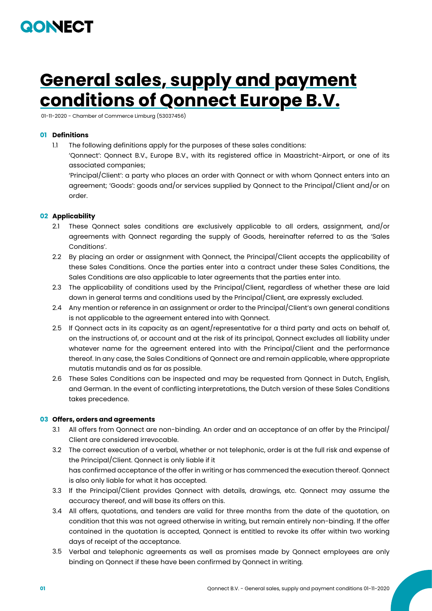

# **General sales, supply and payment conditions of Qonnect Europe B.V.**

01-11-2020 - Chamber of Commerce Limburg (53037456)

## **01 Definitions**

1.1 The following definitions apply for the purposes of these sales conditions:

'Qonnect': Qonnect B.V., Europe B.V., with its registered office in Maastricht-Airport, or one of its associated companies;

'Principal/Client': a party who places an order with Qonnect or with whom Qonnect enters into an agreement; 'Goods': goods and/or services supplied by Qonnect to the Principal/Client and/or on order.

## **02 Applicability**

- 2.1 These Qonnect sales conditions are exclusively applicable to all orders, assignment, and/or agreements with Qonnect regarding the supply of Goods, hereinafter referred to as the 'Sales Conditions'.
- 2.2 By placing an order or assignment with Qonnect, the Principal/Client accepts the applicability of these Sales Conditions. Once the parties enter into a contract under these Sales Conditions, the Sales Conditions are also applicable to later agreements that the parties enter into.
- 2.3 The applicability of conditions used by the Principal/Client, regardless of whether these are laid down in general terms and conditions used by the Principal/Client, are expressly excluded.
- 2.4 Any mention or reference in an assignment or order to the Principal/Client's own general conditions is not applicable to the agreement entered into with Qonnect.
- 2.5 lf Qonnect acts in its capacity as an agent/representative for a third party and acts on behalf of, on the instructions of, or account and at the risk of its principal, Qonnect excludes all liability under whatever name for the agreement entered into with the Principal/Client and the performance thereof. In any case, the Sales Conditions of Qonnect are and remain applicable, where appropriate mutatis mutandis and as far as possible.
- 2.6 These Sales Conditions can be inspected and may be requested from Qonnect in Dutch, English, and German. In the event of conflicting interpretations, the Dutch version of these Sales Conditions takes precedence.

## **03 Offers, orders and agreements**

- 3.1 All offers from Qonnect are non-binding. An order and an acceptance of an offer by the Principal/ Client are considered irrevocable.
- 3.2 The correct execution of a verbal, whether or not telephonic, order is at the full risk and expense of the Principal/Client. Qonnect is only liable if it has confirmed acceptance of the offer in writing or has commenced the execution thereof. Qonnect is also only liable for what it has accepted.
- 3.3 lf the Principal/Client provides Qonnect with details, drawings, etc. Qonnect may assume the accuracy thereof, and will base its offers on this.
- 3.4 All offers, quotations, and tenders are valid for three months from the date of the quotation, on condition that this was not agreed otherwise in writing, but remain entirely non-binding. lf the offer contained in the quotation is accepted, Qonnect is entitled to revoke its offer within two working days of receipt of the acceptance.
- 3.5 Verbal and telephonic agreements as well as promises made by Qonnect employees are only binding on Qonnect if these have been confirmed by Qonnect in writing.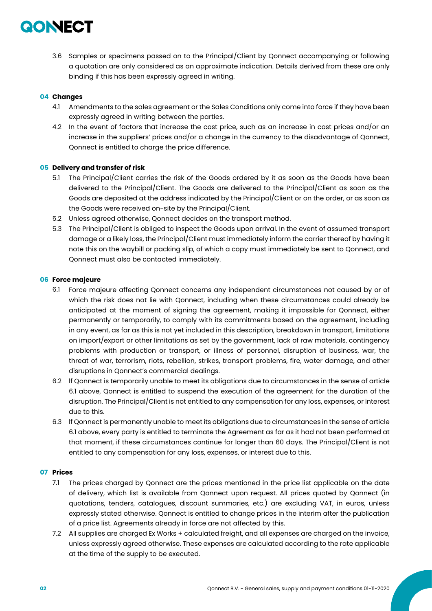

3.6 Samples or specimens passed on to the Principal/Client by Qonnect accompanying or following a quotation are only considered as an approximate indication. Details derived from these are only binding if this has been expressly agreed in writing.

## **04 Changes**

- 4.1 Amendments to the sales agreement or the Sales Conditions only come into force if they have been expressly agreed in writing between the parties.
- 4.2 In the event of factors that increase the cost price, such as an increase in cost prices and/or an increase in the suppliers' prices and/or a change in the currency to the disadvantage of Qonnect, Qonnect is entitled to charge the price difference.

#### **05 Delivery and transfer of risk**

- 5.1 The Principal/Client carries the risk of the Goods ordered by it as soon as the Goods have been delivered to the Principal/Client. The Goods are delivered to the Principal/Client as soon as the Goods are deposited at the address indicated by the Principal/Client or on the order, or as soon as the Goods were received on-site by the Principal/Client.
- 5.2 Unless agreed otherwise, Qonnect decides on the transport method.
- 5.3 The Principal/Client is obliged to inspect the Goods upon arrival. In the event of assumed transport damage or a likely loss, the Principal/Client must immediately inform the carrier thereof by having it note this on the waybill or packing slip, of which a copy must immediately be sent to Qonnect, and Qonnect must also be contacted immediately.

#### **06 Force majeure**

- 6.1 Force majeure affecting Qonnect concerns any independent circumstances not caused by or of which the risk does not lie with Qonnect, including when these circumstances could already be anticipated at the moment of signing the agreement, making it impossible for Qonnect, either permanently or temporarily, to comply with its commitments based on the agreement, including in any event, as far as this is not yet included in this description, breakdown in transport, limitations on import/export or other limitations as set by the government, lack of raw materials, contingency problems with production or transport, or illness of personnel, disruption of business, war, the threat of war, terrorism, riots, rebellion, strikes, transport problems, fire, water damage, and other disruptions in Qonnect's commercial dealings.
- 6.2 lf Qonnect is temporarily unable to meet its obligations due to circumstances in the sense of article 6.1 above, Qonnect is entitled to suspend the execution of the agreement for the duration of the disruption. The Principal/Client is not entitled to any compensation for any loss, expenses, or interest due to this.
- 6.3 lf Qonnect is permanently unable to meet its obligations due to circumstances in the sense of article 6.1 above, every party is entitled to terminate the Agreement as far as it had not been performed at that moment, if these circumstances continue for longer than 60 days. The Principal/Client is not entitled to any compensation for any loss, expenses, or interest due to this.

#### **07 Prices**

- 7.1 The prices charged by Qonnect are the prices mentioned in the price list applicable on the date of delivery, which list is available from Qonnect upon request. All prices quoted by Qonnect (in quotations, tenders, catalogues, discount summaries, etc.) are excluding VAT, in euros, unless expressly stated otherwise. Qonnect is entitled to change prices in the interim after the publication of a price list. Agreements already in force are not affected by this.
- 7.2 All supplies are charged Ex Works + calculated freight, and all expenses are charged on the invoice, unless expressly agreed otherwise. These expenses are calculated according to the rate applicable at the time of the supply to be executed.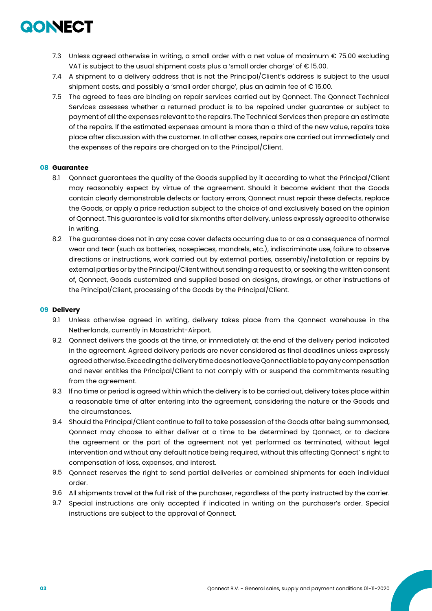

- 7.3 Unless agreed otherwise in writing, a small order with a net value of maximum € 75.00 excluding VAT is subject to the usual shipment costs plus a 'small order charge' of € 15.00.
- 7.4 A shipment to a delivery address that is not the Principal/Client's address is subject to the usual shipment costs, and possibly a 'small order charge', plus an admin fee of € 15.00.
- 7.5 The agreed to fees are binding on repair services carried out by Qonnect. The Qonnect Technical Services assesses whether a returned product is to be repaired under guarantee or subject to payment of all the expenses relevant to the repairs. The Technical Services then prepare an estimate of the repairs. lf the estimated expenses amount is more than a third of the new value, repairs take place after discussion with the customer. In all other cases, repairs are carried out immediately and the expenses of the repairs are charged on to the Principal/Client.

## **08 Guarantee**

- 8.1 Qonnect guarantees the quality of the Goods supplied by it according to what the Principal/Client may reasonably expect by virtue of the agreement. Should it become evident that the Goods contain clearly demonstrable defects or factory errors, Qonnect must repair these defects, replace the Goods, or apply a price reduction subject to the choice of and exclusively based on the opinion of Qonnect. This guarantee is valid for six months after delivery, unless expressly agreed to otherwise in writing.
- 8.2 The guarantee does not in any case cover defects occurring due to or as a consequence of normal wear and tear (such as batteries, nosepieces, mandrels, etc.), indiscriminate use, failure to observe directions or instructions, work carried out by external parties, assembly/installation or repairs by external parties or by the Principal/Client without sending a request to, or seeking the written consent of, Qonnect, Goods customized and supplied based on designs, drawings, or other instructions of the Principal/Client, processing of the Goods by the Principal/Client.

#### **09 Delivery**

- 9.1 Unless otherwise agreed in writing, delivery takes place from the Qonnect warehouse in the Netherlands, currently in Maastricht-Airport.
- 9.2 Qonnect delivers the goods at the time, or immediately at the end of the delivery period indicated in the agreement. Agreed delivery periods are never considered as final deadlines unless expressly agreed otherwise. Exceeding the delivery time does not leave Qonnect liable to pay any compensation and never entitles the Principal/Client to not comply with or suspend the commitments resulting from the agreement.
- 9.3 lf no time or period is agreed within which the delivery is to be carried out, delivery takes place within a reasonable time of after entering into the agreement, considering the nature or the Goods and the circumstances.
- 9.4 Should the Principal/Client continue to fail to take possession of the Goods after being summonsed, Qonnect may choose to either deliver at a time to be determined by Qonnect, or to declare the agreement or the part of the agreement not yet performed as terminated, without legal intervention and without any default notice being required, without this affecting Qonnect' s right to compensation of loss, expenses, and interest.
- 9.5 Qonnect reserves the right to send partial deliveries or combined shipments for each individual order.
- 9.6 All shipments travel at the full risk of the purchaser, regardless of the party instructed by the carrier.
- 9.7 Special instructions are only accepted if indicated in writing on the purchaser's order. Special instructions are subject to the approval of Qonnect.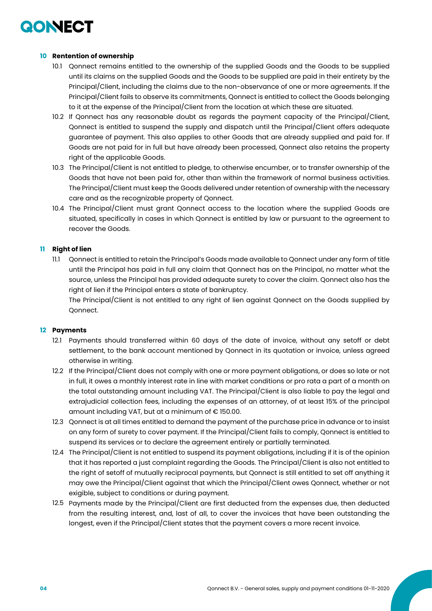## QONECT

## **10 Rentention of ownership**

- 10.1 Qonnect remains entitled to the ownership of the supplied Goods and the Goods to be supplied until its claims on the supplied Goods and the Goods to be supplied are paid in their entirety by the Principal/Client, including the claims due to the non-observance of one or more agreements. lf the Principal/Client fails to observe its commitments, Qonnect is entitled to collect the Goods belonging to it at the expense of the Principal/Client from the location at which these are situated.
- 10.2 If Qonnect has any reasonable doubt as regards the payment capacity of the Principal/Client, Qonnect is entitled to suspend the supply and dispatch until the Principal/Client offers adequate guarantee of payment. This also applies to other Goods that are already supplied and paid for. If Goods are not paid for in full but have already been processed, Qonnect also retains the property right of the applicable Goods.
- 10.3 The Principal/Client is not entitled to pledge, to otherwise encumber, or to transfer ownership of the Goods that have not been paid for, other than within the framework of normal business activities. The Principal/Client must keep the Goods delivered under retention of ownership with the necessary care and as the recognizable property of Qonnect.
- 10.4 The Principal/Client must grant Qonnect access to the location where the supplied Goods are situated, specifically in cases in which Qonnect is entitled by law or pursuant to the agreement to recover the Goods.

## **11 Right of lien**

11.1 Qonnect is entitled to retain the Principal's Goods made available to Qonnect under any form of title until the Principal has paid in full any claim that Qonnect has on the Principal, no matter what the source, unless the Principal has provided adequate surety to cover the claim. Qonnect also has the right of lien if the Principal enters a state of bankruptcy.

The Principal/Client is not entitled to any right of lien against Qonnect on the Goods supplied by Qonnect.

## **12 Payments**

- 12.1 Payments should transferred within 60 days of the date of invoice, without any setoff or debt settlement, to the bank account mentioned by Qonnect in its quotation or invoice, unless agreed otherwise in writing.
- 12.2 If the Principal/Client does not comply with one or more payment obligations, or does so late or not in full, it owes a monthly interest rate in line with market conditions or pro rata a part of a month on the total outstanding amount including VAT. The Principal/Client is also liable to pay the legal and extrajudicial collection fees, including the expenses of an attorney, of at least 15% of the principal amount including VAT, but at a minimum of € 150.00.
- 12.3 Qonnect is at all times entitled to demand the payment of the purchase price in advance or to insist on any form of surety to cover payment. If the Principal/Client fails to comply, Qonnect is entitled to suspend its services or to declare the agreement entirely or partially terminated.
- 12.4 The Principal/Client is not entitled to suspend its payment obligations, including if it is of the opinion that it has reported a just complaint regarding the Goods. The Principal/Client is also not entitled to the right of setoff of mutually reciprocal payments, but Qonnect is still entitled to set off anything it may owe the Principal/Client against that which the Principal/Client owes Qonnect, whether or not exigible, subject to conditions or during payment.
- 12.5 Payments made by the Principal/Client are first deducted from the expenses due, then deducted from the resulting interest, and, last of all, to cover the invoices that have been outstanding the longest, even if the Principal/Client states that the payment covers a more recent invoice.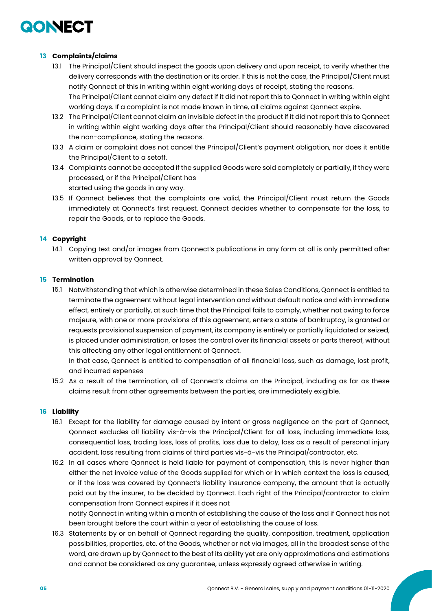

## **13 Complaints/claims**

- 13.1 The Principal/Client should inspect the goods upon delivery and upon receipt, to verify whether the delivery corresponds with the destination or its order. If this is not the case, the Principal/Client must notify Qonnect of this in writing within eight working days of receipt, stating the reasons. The Principal/Client cannot claim any defect if it did not report this to Qonnect in writing within eight working days. If a complaint is not made known in time, all claims against Qonnect expire.
- 13.2 The Principal/Client cannot claim an invisible defect in the product if it did not report this to Qonnect in writing within eight working days after the Principal/Client should reasonably have discovered the non-compliance, stating the reasons.
- 13.3 A claim or complaint does not cancel the Principal/Client's payment obligation, nor does it entitle the Principal/Client to a setoff.
- 13.4 Complaints cannot be accepted if the supplied Goods were sold completely or partially, if they were processed, or if the Principal/Client has started using the goods in any way.
- 13.5 If Qonnect believes that the complaints are valid, the Principal/Client must return the Goods immediately at Qonnect's first request. Qonnect decides whether to compensate for the loss, to repair the Goods, or to replace the Goods.

## **14 Copyright**

14.1 Copying text and/or images from Qonnect's publications in any form at all is only permitted after written approval by Qonnect.

#### **15 Termination**

15.1 Notwithstanding that which is otherwise determined in these Sales Conditions, Qonnect is entitled to terminate the agreement without legal intervention and without default notice and with immediate effect, entirely or partially, at such time that the Principal fails to comply, whether not owing to force majeure, with one or more provisions of this agreement, enters a state of bankruptcy, is granted or requests provisional suspension of payment, its company is entirely or partially liquidated or seized, is placed under administration, or loses the control over its financial assets or parts thereof, without this affecting any other legal entitlement of Qonnect.

In that case, Qonnect is entitled to compensation of all financial loss, such as damage, lost profit, and incurred expenses

15.2 As a result of the termination, all of Qonnect's claims on the Principal, including as far as these claims result from other agreements between the parties, are immediately exigible.

#### **16 Liability**

- 16.1 Except for the liability for damage caused by intent or gross negligence on the part of Qonnect, Qonnect excludes all liability vis-à-vis the Principal/Client for all loss, including immediate loss, consequential loss, trading loss, loss of profits, loss due to delay, loss as a result of personal injury accident, loss resulting from claims of third parties vis-à-vis the Principal/contractor, etc.
- 16.2 In all cases where Qonnect is held liable for payment of compensation, this is never higher than either the net invoice value of the Goods supplied for which or in which context the loss is caused, or if the loss was covered by Qonnect's liability insurance company, the amount that is actually paid out by the insurer, to be decided by Qonnect. Each right of the Principal/contractor to claim compensation from Qonnect expires if it does not

notify Qonnect in writing within a month of establishing the cause of the loss and if Qonnect has not been brought before the court within a year of establishing the cause of loss.

16.3 Statements by or on behalf of Qonnect regarding the quality, composition, treatment, application possibilities, properties, etc. of the Goods, whether or not via images, all in the broadest sense of the word, are drawn up by Qonnect to the best of its ability yet are only approximations and estimations and cannot be considered as any guarantee, unless expressly agreed otherwise in writing.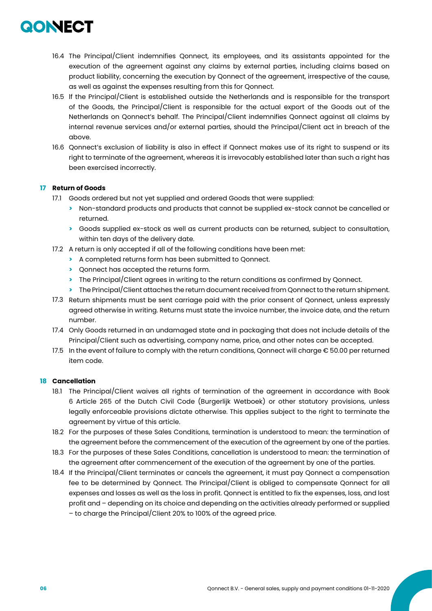

- 16.4 The Principal/Client indemnifies Qonnect, its employees, and its assistants appointed for the execution of the agreement against any claims by external parties, including claims based on product liability, concerning the execution by Qonnect of the agreement, irrespective of the cause, as well as against the expenses resulting from this for Qonnect.
- 16.5 lf the Principal/Client is established outside the Netherlands and is responsible for the transport of the Goods, the Principal/Client is responsible for the actual export of the Goods out of the Netherlands on Qonnect's behalf. The Principal/Client indemnifies Qonnect against all claims by internal revenue services and/or external parties, should the Principal/Client act in breach of the above.
- 16.6 Qonnect's exclusion of liability is also in effect if Qonnect makes use of its right to suspend or its right to terminate of the agreement, whereas it is irrevocably established later than such a right has been exercised incorrectly.

## **17 Return of Goods**

- 17.1 Goods ordered but not yet supplied and ordered Goods that were supplied:
	- **>** Non-standard products and products that cannot be supplied ex-stock cannot be cancelled or returned.
	- **>** Goods supplied ex-stock as well as current products can be returned, subject to consultation, within ten days of the delivery date.
- 17.2 A return is only accepted if all of the following conditions have been met:
	- **>** A completed returns form has been submitted to Qonnect.
	- **>** Qonnect has accepted the returns form.
	- **>** The Principal/Client agrees in writing to the return conditions as confirmed by Qonnect.
	- **>** The Principal/Client attaches the return document received from Qonnect to the return shipment.
- 17.3 Return shipments must be sent carriage paid with the prior consent of Qonnect, unless expressly agreed otherwise in writing. Returns must state the invoice number, the invoice date, and the return number.
- 17.4 Only Goods returned in an undamaged state and in packaging that does not include details of the Principal/Client such as advertising, company name, price, and other notes can be accepted.
- 17.5 In the event of failure to comply with the return conditions, Qonnect will charge € 50.00 per returned item code.

## **18 Cancellation**

- 18.1 The Principal/Client waives all rights of termination of the agreement in accordance with Book 6 Article 265 of the Dutch Civil Code (Burgerlijk Wetboek) or other statutory provisions, unless legally enforceable provisions dictate otherwise. This applies subject to the right to terminate the agreement by virtue of this article.
- 18.2 For the purposes of these Sales Conditions, termination is understood to mean: the termination of the agreement before the commencement of the execution of the agreement by one of the parties.
- 18.3 For the purposes of these Sales Conditions, cancellation is understood to mean: the termination of the agreement after commencement of the execution of the agreement by one of the parties.
- 18.4 If the Principal/Client terminates or cancels the agreement, it must pay Qonnect a compensation fee to be determined by Qonnect. The Principal/Client is obliged to compensate Qonnect for all expenses and losses as well as the loss in profit. Qonnect is entitled to fix the expenses, loss, and lost profit and – depending on its choice and depending on the activities already performed or supplied – to charge the Principal/Client 20% to 100% of the agreed price.